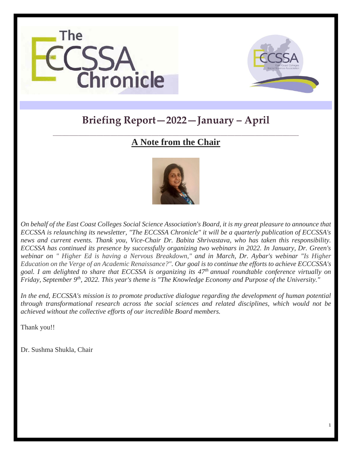



1

# **Briefing Report—2022—January – April**

## **\_\_\_\_\_\_\_\_\_\_\_\_\_\_\_\_\_\_\_\_\_\_\_\_\_\_\_\_\_\_\_\_\_\_\_\_\_\_\_\_\_\_\_\_\_\_\_\_\_\_\_\_\_\_\_\_\_\_\_\_\_\_\_\_\_\_\_\_\_\_\_\_\_\_\_\_\_\_\_\_\_\_\_\_\_\_\_\_\_\_\_\_\_\_\_\_\_\_\_\_\_\_\_\_\_\_\_ A Note from the Chair**



*On behalf of the East Coast Colleges Social Science Association's Board, it is my great pleasure to announce that ECCSSA is relaunching its newsletter, "The ECCSSA Chronicle" it will be a quarterly publication of ECCSSA's news and current events. Thank you, Vice-Chair Dr. Babita Shrivastava, who has taken this responsibility. ECCSSA has continued its presence by successfully organizing two webinars in 2022. In January, Dr. Green's webinar on " Higher Ed is having a Nervous Breakdown," and in March, Dr. Aybar's webinar "Is Higher Education on the Verge of an Academic Renaissance?". Our goal is to continue the efforts to achieve ECCCSSA's goal. I am delighted to share that ECCSSA is organizing its 47th annual roundtable conference virtually on Friday, September 9th, 2022. This year's theme is "The Knowledge Economy and Purpose of the University."*

*In the end, ECCSSA's mission is to promote productive dialogue regarding the development of human potential through transformational research across the social sciences and related disciplines, which would not be achieved without the collective efforts of our incredible Board members.*

Thank you!!

Dr. Sushma Shukla, Chair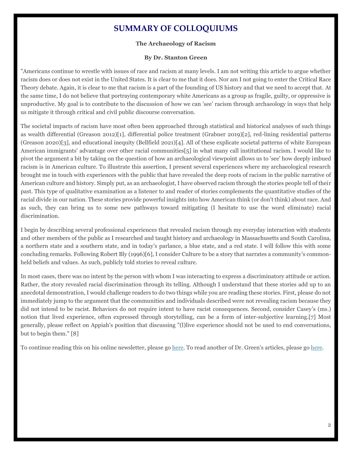# **SUMMARY OF COLLOQUIUMS**

## **The Archaeology of Racism**

#### **By Dr. Stanton Green**

"Americans continue to wrestle with issues of race and racism at many levels. I am not writing this article to argue whether racism does or does not exist in the United States. It is clear to me that it does. Nor am I not going to enter the Critical Race Theory debate. Again, it is clear to me that racism is a part of the founding of US history and that we need to accept that. At the same time, I do not believe that portraying contemporary white Americans as a group as fragile, guilty, or oppressive is unproductive. My goal is to contribute to the discussion of how we can 'see' racism through archaeology in ways that help us mitigate it through critical and civil public discourse conversation.

The societal impacts of racism have most often been approached through statistical and historical analyses of such things as wealth differential (Greason 2012)[1], differential police treatment (Grabner 2019)[2], red-lining residential patterns (Greason 2020)[3], and educational inequity (Bellfield 2021)[4]. All of these explicate societal patterns of white European American immigrants' advantage over other racial communities[5] in what many call institutional racism. I would like to pivot the argument a bit by taking on the question of how an archaeological viewpoint allows us to 'see' how deeply imbued racism is in American culture. To illustrate this assertion, I present several experiences where my archaeological research brought me in touch with experiences with the public that have revealed the deep roots of racism in the public narrative of American culture and history. Simply put, as an archaeologist, I have observed racism through the stories people tell of their past. This type of qualitative examination as a listener to and reader of stories complements the quantitative studies of the racial divide in our nation. These stories provide powerful insights into how American think (or don't think) about race. And as such, they can bring us to some new pathways toward mitigating (I hesitate to use the word eliminate) racial discrimination.

I begin by describing several professional experiences that revealed racism through my everyday interaction with students and other members of the public as I researched and taught history and archaeology in Massachusetts and South Carolina, a northern state and a southern state, and in today's parlance, a blue state, and a red state. I will follow this with some concluding remarks. Following Robert Bly (1996)[6], I consider Culture to be a story that narrates a community's commonheld beliefs and values. As such, publicly told stories to reveal culture.

In most cases, there was no intent by the person with whom I was interacting to express a discriminatory attitude or action. Rather, the story revealed racial discrimination through its telling. Although I understand that these stories add up to an anecdotal demonstration, I would challenge readers to do two things while you are reading these stories. First, please do not immediately jump to the argument that the communities and individuals described were not revealing racism because they did not intend to be racist. Behaviors do not require intent to have racist consequences. Second, consider Casey's (ms.) notion that lived experience, often expressed through storytelling, can be a form of inter-subjective learning.[7] Most generally, please reflect on Appiah's position that discussing "(l)live experience should not be used to end conversations, but to begin them." [8]

To continue reading this on his online newsletter, please g[o here.](https://stantonwgreen.substack.com/p/the-archaeology-of-racism?r=4xbp4&s=w&utm_campaign=post&utm_medium=web) To read another of Dr. Green's articles, please go [here.](https://stantonwgreen.substack.com/p/acting-for-the-public-good-is-not?r=4xbp4&s=w&utm_campaign=post&utm_medium=email)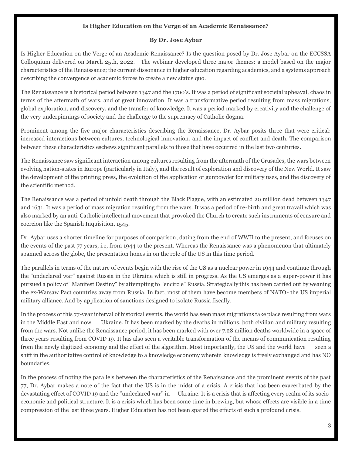## **Is Higher Education on the Verge of an Academic Renaissance?**

#### **By Dr. Jose Aybar**

Is Higher Education on the Verge of an Academic Renaissance? Is the question posed by Dr. Jose Aybar on the ECCSSA Colloquium delivered on March 25th, 2022. The webinar developed three major themes: a model based on the major characteristics of the Renaissance; the current dissonance in higher education regarding academics, and a systems approach describing the convergence of academic forces to create a new status quo.

The Renaissance is a historical period between 1347 and the 1700's. It was a period of significant societal upheaval, chaos in terms of the aftermath of wars, and of great innovation. It was a transformative period resulting from mass migrations, global exploration, and discovery, and the transfer of knowledge. It was a period marked by creativity and the challenge of the very underpinnings of society and the challenge to the supremacy of Catholic dogma.

Prominent among the five major characteristics describing the Renaissance, Dr. Aybar posits three that were critical: increased interactions between cultures, technological innovation, and the impact of conflict and death. The comparison between these characteristics eschews significant parallels to those that have occurred in the last two centuries.

The Renaissance saw significant interaction among cultures resulting from the aftermath of the Crusades, the wars between evolving nation-states in Europe (particularly in Italy), and the result of exploration and discovery of the New World. It saw the development of the printing press, the evolution of the application of gunpowder for military uses, and the discovery of the scientific method.

The Renaissance was a period of untold death through the Black Plague, with an estimated 20 million dead between 1347 and 1631. It was a period of mass migration resulting from the wars. It was a period of re-birth and great travail which was also marked by an anti-Catholic intellectual movement that provoked the Church to create such instruments of censure and coercion like the Spanish Inquisition, 1545.

Dr. Aybar uses a shorter timeline for purposes of comparison, dating from the end of WWII to the present, and focuses on the events of the past 77 years, i.e, from 1944 to the present. Whereas the Renaissance was a phenomenon that ultimately spanned across the globe, the presentation hones in on the role of the US in this time period.

The parallels in terms of the nature of events begin with the rise of the US as a nuclear power in 1944 and continue through the "undeclared war" against Russia in the Ukraine which is still in progress. As the US emerges as a super-power it has pursued a policy of "Manifest Destiny" by attempting to "encircle" Russia. Strategically this has been carried out by weaning the ex-Warsaw Pact countries away from Russia. In fact, most of them have become members of NATO- the US imperial military alliance. And by application of sanctions designed to isolate Russia fiscally.

In the process of this 77-year interval of historical events, the world has seen mass migrations take place resulting from wars in the Middle East and now Ukraine. It has been marked by the deaths in millions, both civilian and military resulting from the wars. Not unlike the Renaissance period, it has been marked with over 7.28 million deaths worldwide in a space of three years resulting from COVID 19. It has also seen a veritable transformation of the means of communication resulting from the newly digitized economy and the effect of the algorithm. Most importantly, the US and the world have seen a shift in the authoritative control of knowledge to a knowledge economy wherein knowledge is freely exchanged and has NO boundaries.

In the process of noting the parallels between the characteristics of the Renaissance and the prominent events of the past 77, Dr. Aybar makes a note of the fact that the US is in the midst of a crisis. A crisis that has been exacerbated by the devastating effect of COVID 19 and the "undeclared war" in Ukraine. It is a crisis that is affecting every realm of its socioeconomic and political structure. It is a crisis which has been some time in brewing, but whose effects are visible in a time compression of the last three years. Higher Education has not been spared the effects of such a profound crisis.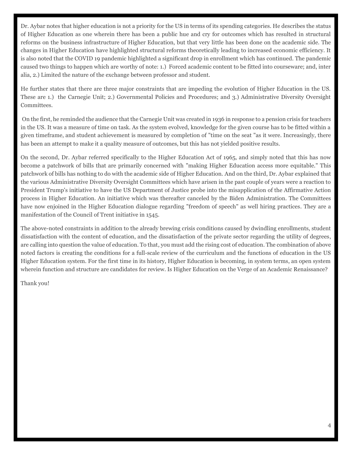Dr. Aybar notes that higher education is not a priority for the US in terms of its spending categories. He describes the status of Higher Education as one wherein there has been a public hue and cry for outcomes which has resulted in structural reforms on the business infrastructure of Higher Education, but that very little has been done on the academic side. The changes in Higher Education have highlighted structural reforms theoretically leading to increased economic efficiency. It is also noted that the COVID 19 pandemic highlighted a significant drop in enrollment which has continued. The pandemic caused two things to happen which are worthy of note: 1.) Forced academic content to be fitted into courseware; and, inter alia, 2.) Limited the nature of the exchange between professor and student.

He further states that there are three major constraints that are impeding the evolution of Higher Education in the US. These are 1.) the Carnegie Unit; 2.) Governmental Policies and Procedures; and 3.) Administrative Diversity Oversight Committees.

On the first, he reminded the audience that the Carnegie Unit was created in 1936 in response to a pension crisis for teachers in the US. It was a measure of time on task. As the system evolved, knowledge for the given course has to be fitted within a given timeframe, and student achievement is measured by completion of "time on the seat "as it were. Increasingly, there has been an attempt to make it a quality measure of outcomes, but this has not yielded positive results.

On the second, Dr. Aybar referred specifically to the Higher Education Act of 1965, and simply noted that this has now become a patchwork of bills that are primarily concerned with "making Higher Education access more equitable." This patchwork of bills has nothing to do with the academic side of Higher Education. And on the third, Dr. Aybar explained that the various Administrative Diversity Oversight Committees which have arisen in the past couple of years were a reaction to President Trump's initiative to have the US Department of Justice probe into the misapplication of the Affirmative Action process in Higher Education. An initiative which was thereafter canceled by the Biden Administration. The Committees have now enjoined in the Higher Education dialogue regarding "freedom of speech" as well hiring practices. They are a manifestation of the Council of Trent initiative in 1545.

The above-noted constraints in addition to the already brewing crisis conditions caused by dwindling enrollments, student dissatisfaction with the content of education, and the dissatisfaction of the private sector regarding the utility of degrees, are calling into question the value of education. To that, you must add the rising cost of education. The combination of above noted factors is creating the conditions for a full-scale review of the curriculum and the functions of education in the US Higher Education system. For the first time in its history, Higher Education is becoming, in system terms, an open system wherein function and structure are candidates for review. Is Higher Education on the Verge of an Academic Renaissance?

Thank you!